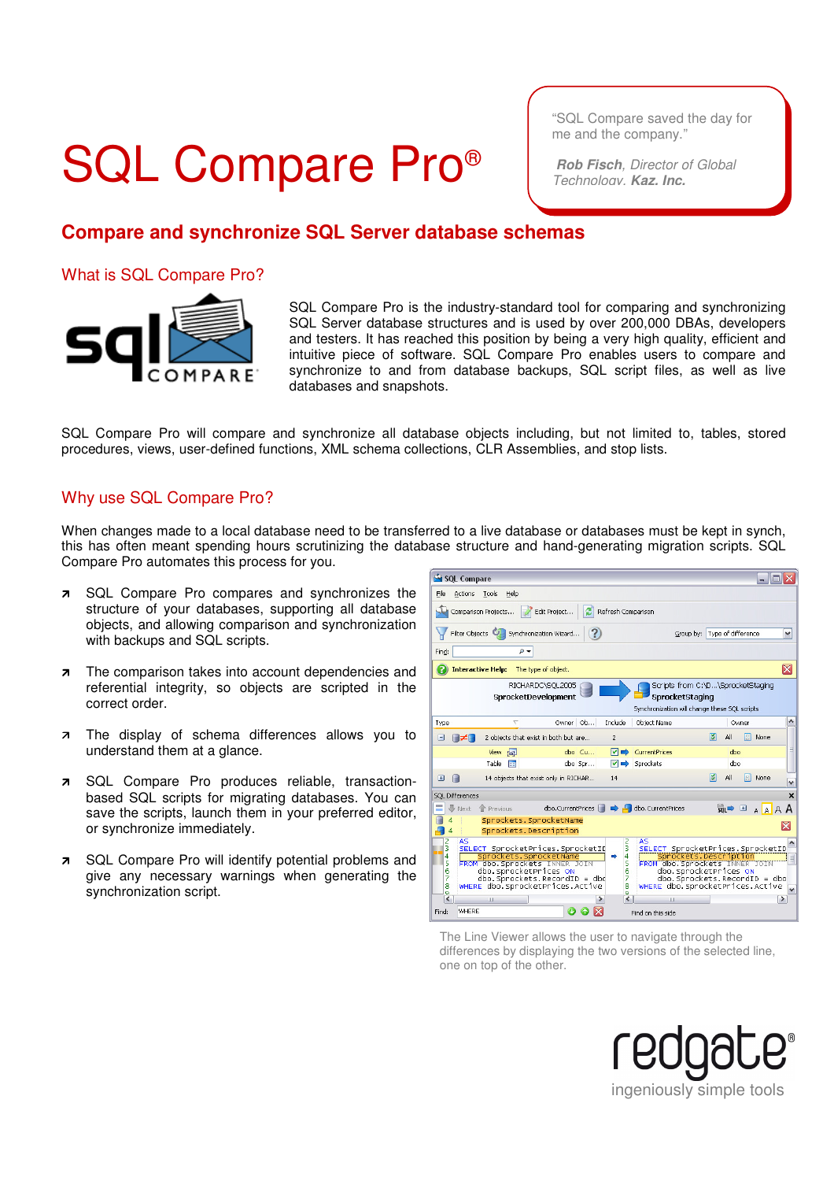## SQL Compare Pro®

"SQL Compare saved the day for me and the company."

 **Rob Fisch**, Director of Global Technology, **Kaz, Inc.**

## **Compare and synchronize SQL Server database schemas**

What is SQL Compare Pro?



SQL Compare Pro is the industry-standard tool for comparing and synchronizing SQL Server database structures and is used by over 200,000 DBAs, developers and testers. It has reached this position by being a very high quality, efficient and intuitive piece of software. SQL Compare Pro enables users to compare and synchronize to and from database backups, SQL script files, as well as live databases and snapshots.

SQL Compare Pro will compare and synchronize all database objects including, but not limited to, tables, stored procedures, views, user-defined functions, XML schema collections, CLR Assemblies, and stop lists.

### Why use SQL Compare Pro?

When changes made to a local database need to be transferred to a live database or databases must be kept in synch, this has often meant spending hours scrutinizing the database structure and hand-generating migration scripts. SQL Compare Pro automates this process for you.

- **7** SQL Compare Pro compares and synchronizes the structure of your databases, supporting all database objects, and allowing comparison and synchronization with backups and SQL scripts.
- **7** The comparison takes into account dependencies and referential integrity, so objects are scripted in the correct order.
- **7** The display of schema differences allows you to understand them at a glance.
- SQL Compare Pro produces reliable, transactionbased SQL scripts for migrating databases. You can save the scripts, launch them in your preferred editor, or synchronize immediately.
- **7** SQL Compare Pro will identify potential problems and give any necessary warnings when generating the synchronization script.



The Line Viewer allows the user to navigate through the differences by displaying the two versions of the selected line, one on top of the other.

ingeniously simple tools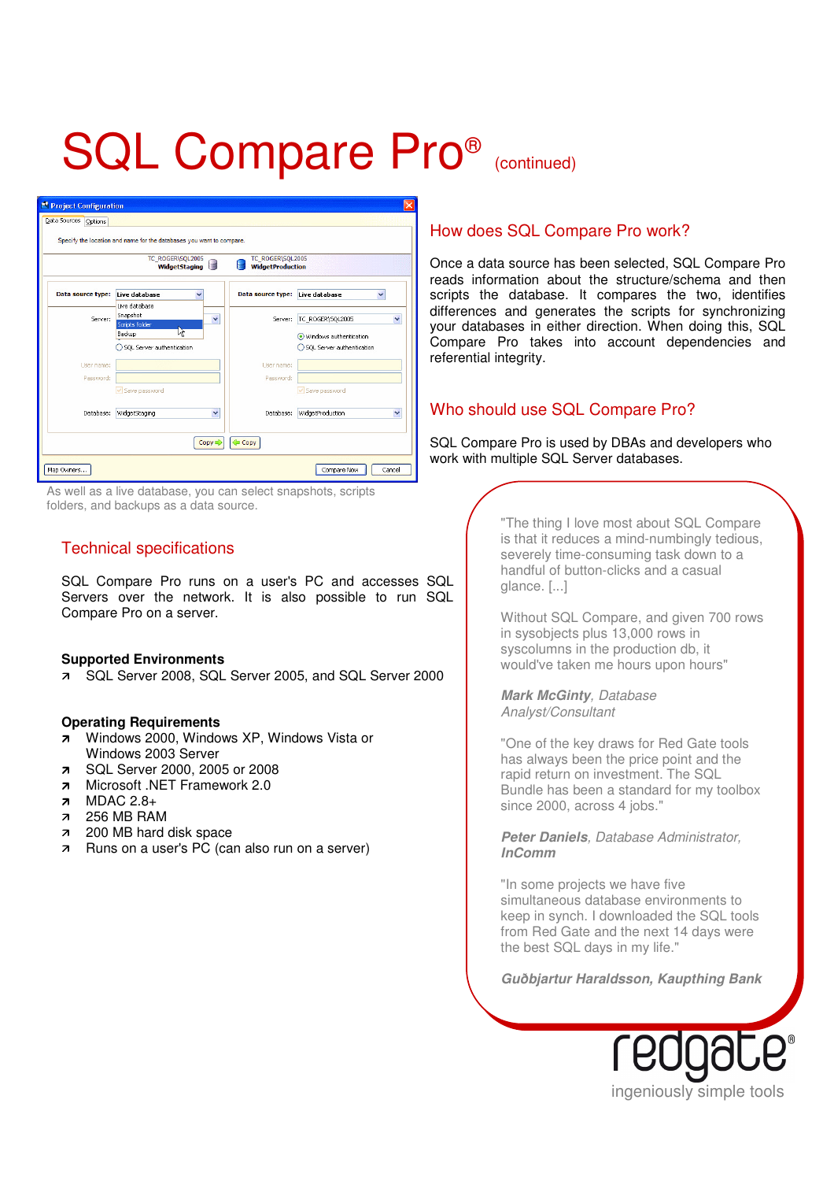# SQL Compare Pro® (continued)

| TC_ROGER\SQL2005<br>TC_ROGER\SQL2005<br><b>WidgetProduction</b><br><b>WidgetStaging</b> |                                              |                                 |                                                     |
|-----------------------------------------------------------------------------------------|----------------------------------------------|---------------------------------|-----------------------------------------------------|
| Data source type:                                                                       | Live database                                | Data source type: Live database |                                                     |
| Server:                                                                                 | Live database<br>Snapshot<br>Scripts folder  | v<br>Server:                    | TC_ROGER\SQL2005<br>Y                               |
|                                                                                         | ľŹ.<br>Backup<br>◯ SQL Server authentication |                                 | Windows authentication<br>SQL Server authentication |
| User name:                                                                              |                                              | User name:                      |                                                     |
| Password:                                                                               | Save password                                | Password:                       | Save password                                       |
| Database:                                                                               | WidgetStaging                                | $\checkmark$<br>Database:       | WidgetProduction<br>$\checkmark$                    |

As well as a live database, you can select snapshots, scripts folders, and backups as a data source.

### Technical specifications

SQL Compare Pro runs on a user's PC and accesses SQL Servers over the network. It is also possible to run SQL Compare Pro on a server.

#### **Supported Environments**

SQL Server 2008, SQL Server 2005, and SQL Server 2000

#### **Operating Requirements**

- **7** Windows 2000, Windows XP, Windows Vista or Windows 2003 Server
- SQL Server 2000, 2005 or 2008
- 7 Microsoft .NET Framework 2.0<br>7 MDAC 2.8+
- MDAC 2.8+
- 256 MB RAM
- 200 MB hard disk space
- **Runs on a user's PC** (can also run on a server)

## How does SQL Compare Pro work?

Once a data source has been selected, SQL Compare Pro reads information about the structure/schema and then scripts the database. It compares the two, identifies differences and generates the scripts for synchronizing your databases in either direction. When doing this, SQL Compare Pro takes into account dependencies and referential integrity.

## Who should use SQL Compare Pro?

SQL Compare Pro is used by DBAs and developers who work with multiple SQL Server databases.

> "The thing I love most about SQL Compare is that it reduces a mind-numbingly tedious, severely time-consuming task down to a handful of button-clicks and a casual glance. [...]

> Without SQL Compare, and given 700 rows in sysobjects plus 13,000 rows in syscolumns in the production db, it would've taken me hours upon hours"

**Mark McGinty**, Database Analyst/Consultant

"One of the key draws for Red Gate tools has always been the price point and the rapid return on investment. The SQL Bundle has been a standard for my toolbox since 2000, across 4 jobs."

**Peter Daniels**, Database Administrator, **InComm**

"In some projects we have five simultaneous database environments to keep in synch. I downloaded the SQL tools from Red Gate and the next 14 days were the best SQL days in my life."

**Guðbjartur Haraldsson, Kaupthing Bank**